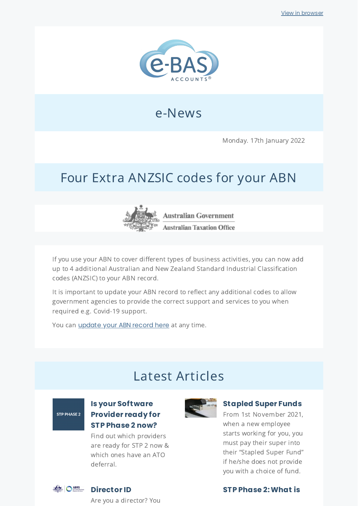

### e-News

Monday. 17th January 2022

## Four Extra ANZSIC codes for your ABN



Australian Government **Australian Taxation Office** 

If you use your ABN to cover different types of business activities, you can now add up to 4 additional Australian and New Zealand Standard Industrial Classification codes (ANZSIC) to your ABN record.

It is important to update your ABN record to reflect any additional codes to allow government agencies to provide the correct support and services to you when required e.g. Covid-19 support.

You can *[update](https://www.abr.gov.au/business-super-funds-charities/updating-or-cancelling-your-abn/update-your-abn-details) your ABN record here* at any time.

## Latest Articles

### STP PHASE 2

**O** ABRS

#### **Is your [Software](https://www.e-bas.com.au/is-your-software-provider-ready-for-stp-phase-2-now/) Provider ready for STP Phase 2 now?**

Find out which providers are ready for STP 2 now & which ones have an ATO deferral.



#### **[Stapled](https://www.e-bas.com.au/stapled-super-funds/) Super Funds**

From 1st November 2021, when a new employee starts working for you, you must pay their super into their "Stapled Super Fund" if he/she does not provide you with a choice of fund.

#### **STP Phase [2:What](https://www.e-bas.com.au/stp-phase-2-what-is-it-good-for/) is**

Are you a director? You

**[Director](https://www.e-bas.com.au/director-id/) ID**